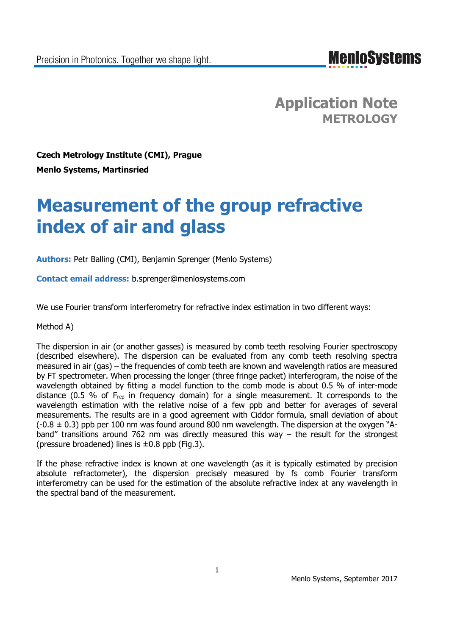**MenIoSystems** 

**Application Note METROLOGY**

**Czech Metrology Institute (CMI), Prague Menlo Systems, Martinsried**

# **Measurement of the group refractive index of air and glass**

**Authors:** Petr Balling (CMI), Benjamin Sprenger (Menlo Systems)

**Contact email address:** b.sprenger@menlosystems.com

We use Fourier transform interferometry for refractive index estimation in two different ways:

Method A)

The dispersion in air (or another gasses) is measured by comb teeth resolving Fourier spectroscopy (described elsewhere). The dispersion can be evaluated from any comb teeth resolving spectra measured in air (gas) – the frequencies of comb teeth are known and wavelength ratios are measured by FT spectrometer. When processing the longer (three fringe packet) interferogram, the noise of the wavelength obtained by fitting a model function to the comb mode is about 0.5 % of inter-mode distance (0.5 % of Frep in frequency domain) for a single measurement. It corresponds to the wavelength estimation with the relative noise of a few ppb and better for averages of several measurements. The results are in a good agreement with Ciddor formula, small deviation of about  $(-0.8 \pm 0.3)$  ppb per 100 nm was found around 800 nm wavelength. The dispersion at the oxygen "Aband" transitions around 762 nm was directly measured this way – the result for the strongest (pressure broadened) lines is  $\pm 0.8$  ppb (Fig.3).

If the phase refractive index is known at one wavelength (as it is typically estimated by precision absolute refractometer), the dispersion precisely measured by fs comb Fourier transform interferometry can be used for the estimation of the absolute refractive index at any wavelength in the spectral band of the measurement.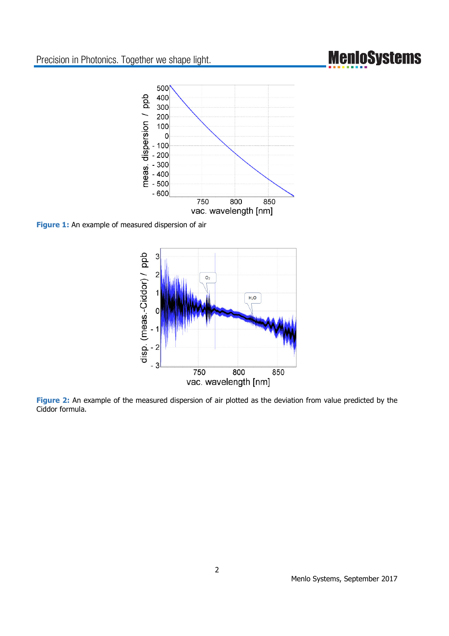## **MenioSystems**



**Figure 1:** An example of measured dispersion of air



**Figure 2:** An example of the measured dispersion of air plotted as the deviation from value predicted by the Ciddor formula.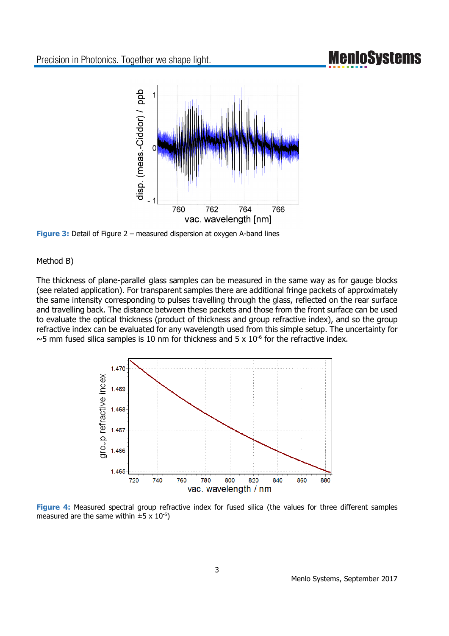### **MenIoSystems**



**Figure 3:** Detail of Figure 2 – measured dispersion at oxygen A-band lines

#### Method B)

The thickness of plane-parallel glass samples can be measured in the same way as for gauge blocks (see related application). For transparent samples there are additional fringe packets of approximately the same intensity corresponding to pulses travelling through the glass, reflected on the rear surface and travelling back. The distance between these packets and those from the front surface can be used to evaluate the optical thickness (product of thickness and group refractive index), and so the group refractive index can be evaluated for any wavelength used from this simple setup. The uncertainty for  $\sim$ 5 mm fused silica samples is 10 nm for thickness and 5 x 10<sup>-6</sup> for the refractive index.



Figure 4: Measured spectral group refractive index for fused silica (the values for three different samples measured are the same within  $\pm 5 \times 10^{-6}$ )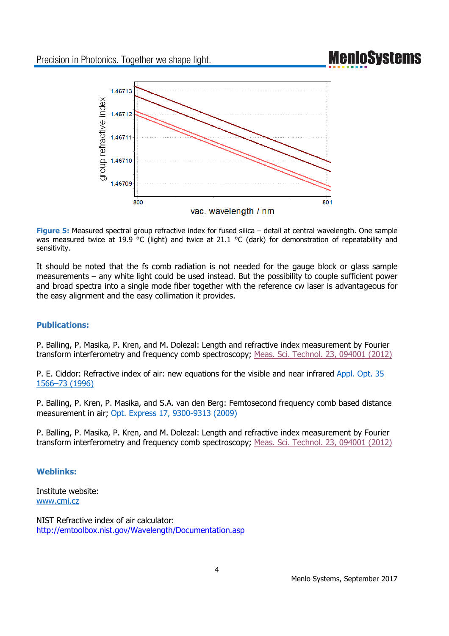## **MenIoSystems**



**Figure 5:** Measured spectral group refractive index for fused silica – detail at central wavelength. One sample was measured twice at 19.9 °C (light) and twice at 21.1 °C (dark) for demonstration of repeatability and sensitivity.

It should be noted that the fs comb radiation is not needed for the gauge block or glass sample measurements – any white light could be used instead. But the possibility to couple sufficient power and broad spectra into a single mode fiber together with the reference cw laser is advantageous for the easy alignment and the easy collimation it provides.

### **Publications:**

P. Balling, P. Masika, P. Kren, and M. Dolezal: Length and refractive index measurement by Fourier transform interferometry and frequency comb spectroscopy; Meas. Sci. Technol. 23, 094001 (2012)

P. E. Ciddor: Refractive index of air: new equations for the visible and near infrared Appl. Opt. 35 1566–73 (1996)

P. Balling, P. Kren, P. Masika, and S.A. van den Berg: Femtosecond frequency comb based distance measurement in air; Opt. Express 17, 9300-9313 (2009)

P. Balling, P. Masika, P. Kren, and M. Dolezal: Length and refractive index measurement by Fourier transform interferometry and frequency comb spectroscopy; Meas. Sci. Technol. 23, 094001 (2012)

### **Weblinks:**

Institute website: www.cmi.cz

NIST Refractive index of air calculator: http://emtoolbox.nist.gov/Wavelength/Documentation.asp